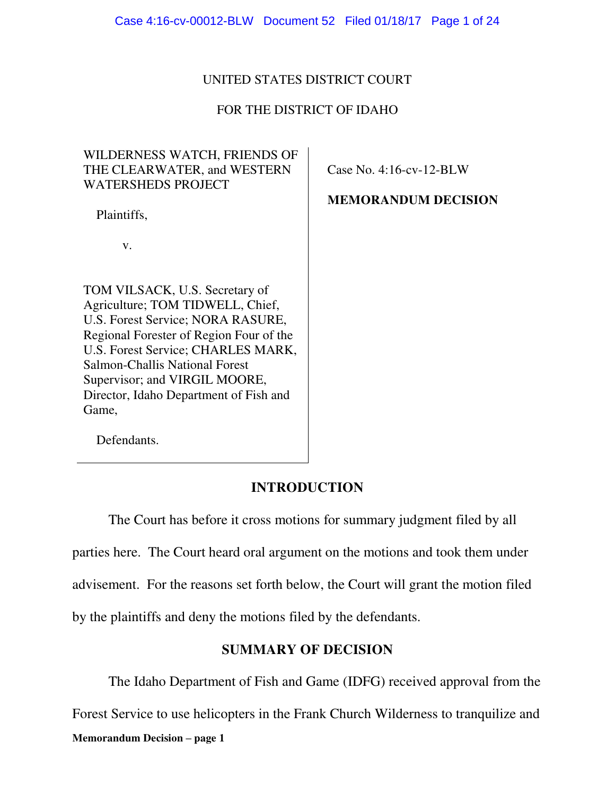# UNITED STATES DISTRICT COURT

# FOR THE DISTRICT OF IDAHO

# WILDERNESS WATCH, FRIENDS OF THE CLEARWATER, and WESTERN WATERSHEDS PROJECT

Plaintiffs,

v.

TOM VILSACK, U.S. Secretary of Agriculture; TOM TIDWELL, Chief, U.S. Forest Service; NORA RASURE, Regional Forester of Region Four of the U.S. Forest Service; CHARLES MARK, Salmon-Challis National Forest Supervisor; and VIRGIL MOORE, Director, Idaho Department of Fish and Game,

Case No. 4:16-cv-12-BLW

**MEMORANDUM DECISION** 

Defendants.

# **INTRODUCTION**

 The Court has before it cross motions for summary judgment filed by all parties here. The Court heard oral argument on the motions and took them under advisement. For the reasons set forth below, the Court will grant the motion filed by the plaintiffs and deny the motions filed by the defendants.

# **SUMMARY OF DECISION**

**Memorandum Decision – page 1**  The Idaho Department of Fish and Game (IDFG) received approval from the Forest Service to use helicopters in the Frank Church Wilderness to tranquilize and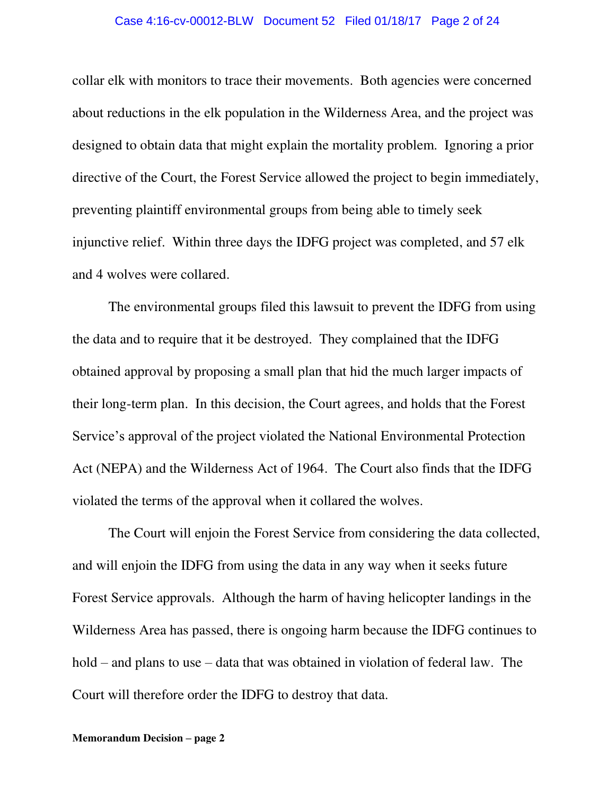#### Case 4:16-cv-00012-BLW Document 52 Filed 01/18/17 Page 2 of 24

collar elk with monitors to trace their movements. Both agencies were concerned about reductions in the elk population in the Wilderness Area, and the project was designed to obtain data that might explain the mortality problem. Ignoring a prior directive of the Court, the Forest Service allowed the project to begin immediately, preventing plaintiff environmental groups from being able to timely seek injunctive relief. Within three days the IDFG project was completed, and 57 elk and 4 wolves were collared.

 The environmental groups filed this lawsuit to prevent the IDFG from using the data and to require that it be destroyed. They complained that the IDFG obtained approval by proposing a small plan that hid the much larger impacts of their long-term plan. In this decision, the Court agrees, and holds that the Forest Service's approval of the project violated the National Environmental Protection Act (NEPA) and the Wilderness Act of 1964. The Court also finds that the IDFG violated the terms of the approval when it collared the wolves.

The Court will enjoin the Forest Service from considering the data collected, and will enjoin the IDFG from using the data in any way when it seeks future Forest Service approvals. Although the harm of having helicopter landings in the Wilderness Area has passed, there is ongoing harm because the IDFG continues to hold – and plans to use – data that was obtained in violation of federal law. The Court will therefore order the IDFG to destroy that data.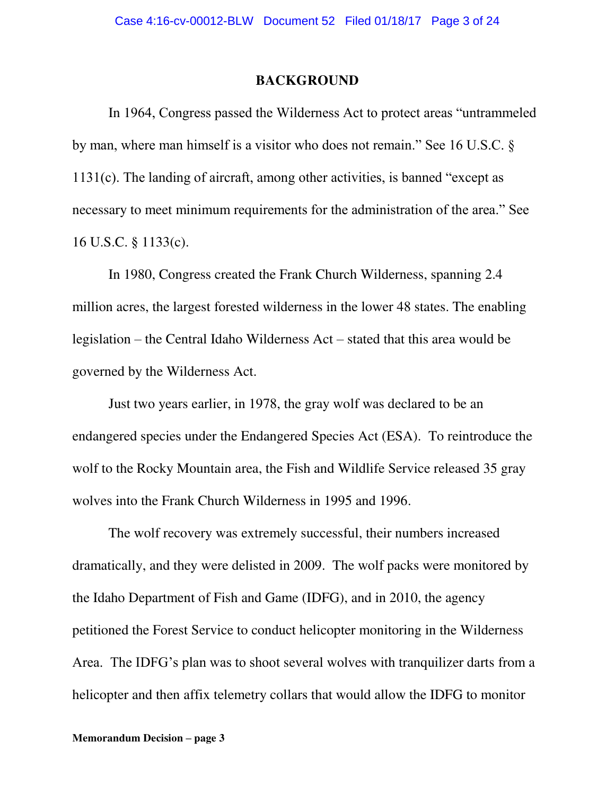### **BACKGROUND**

 In 1964, Congress passed the Wilderness Act to protect areas "untrammeled by man, where man himself is a visitor who does not remain." See 16 U.S.C. § 1131(c). The landing of aircraft, among other activities, is banned "except as necessary to meet minimum requirements for the administration of the area." See 16 U.S.C. § 1133(c).

In 1980, Congress created the Frank Church Wilderness, spanning 2.4 million acres, the largest forested wilderness in the lower 48 states. The enabling legislation – the Central Idaho Wilderness Act – stated that this area would be governed by the Wilderness Act.

Just two years earlier, in 1978, the gray wolf was declared to be an endangered species under the Endangered Species Act (ESA). To reintroduce the wolf to the Rocky Mountain area, the Fish and Wildlife Service released 35 gray wolves into the Frank Church Wilderness in 1995 and 1996.

The wolf recovery was extremely successful, their numbers increased dramatically, and they were delisted in 2009. The wolf packs were monitored by the Idaho Department of Fish and Game (IDFG), and in 2010, the agency petitioned the Forest Service to conduct helicopter monitoring in the Wilderness Area. The IDFG's plan was to shoot several wolves with tranquilizer darts from a helicopter and then affix telemetry collars that would allow the IDFG to monitor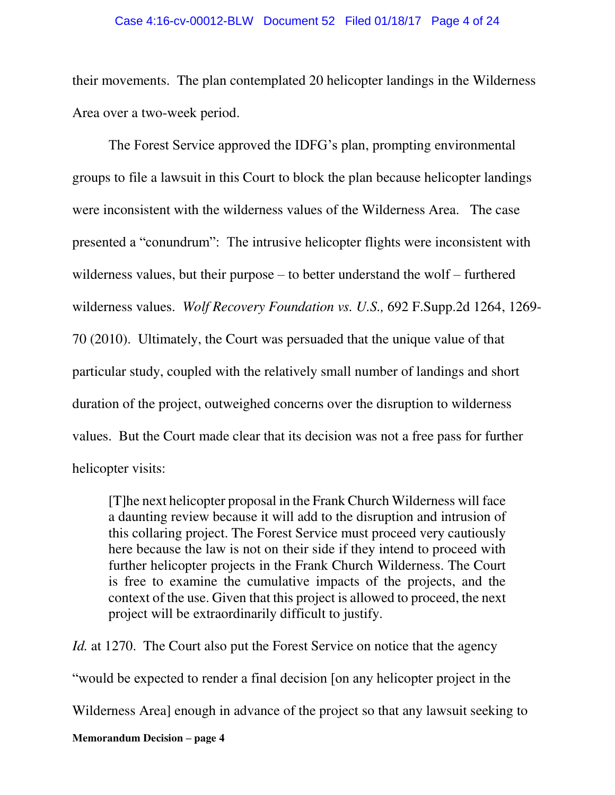#### Case 4:16-cv-00012-BLW Document 52 Filed 01/18/17 Page 4 of 24

their movements. The plan contemplated 20 helicopter landings in the Wilderness Area over a two-week period.

The Forest Service approved the IDFG's plan, prompting environmental groups to file a lawsuit in this Court to block the plan because helicopter landings were inconsistent with the wilderness values of the Wilderness Area. The case presented a "conundrum": The intrusive helicopter flights were inconsistent with wilderness values, but their purpose – to better understand the wolf – furthered wilderness values. *Wolf Recovery Foundation vs. U.S.,* 692 F.Supp.2d 1264, 1269- 70 (2010). Ultimately, the Court was persuaded that the unique value of that particular study, coupled with the relatively small number of landings and short duration of the project, outweighed concerns over the disruption to wilderness values. But the Court made clear that its decision was not a free pass for further helicopter visits:

[T]he next helicopter proposal in the Frank Church Wilderness will face a daunting review because it will add to the disruption and intrusion of this collaring project. The Forest Service must proceed very cautiously here because the law is not on their side if they intend to proceed with further helicopter projects in the Frank Church Wilderness. The Court is free to examine the cumulative impacts of the projects, and the context of the use. Given that this project is allowed to proceed, the next project will be extraordinarily difficult to justify.

*Id.* at 1270. The Court also put the Forest Service on notice that the agency "would be expected to render a final decision [on any helicopter project in the

Wilderness Area] enough in advance of the project so that any lawsuit seeking to

**Memorandum Decision – page 4**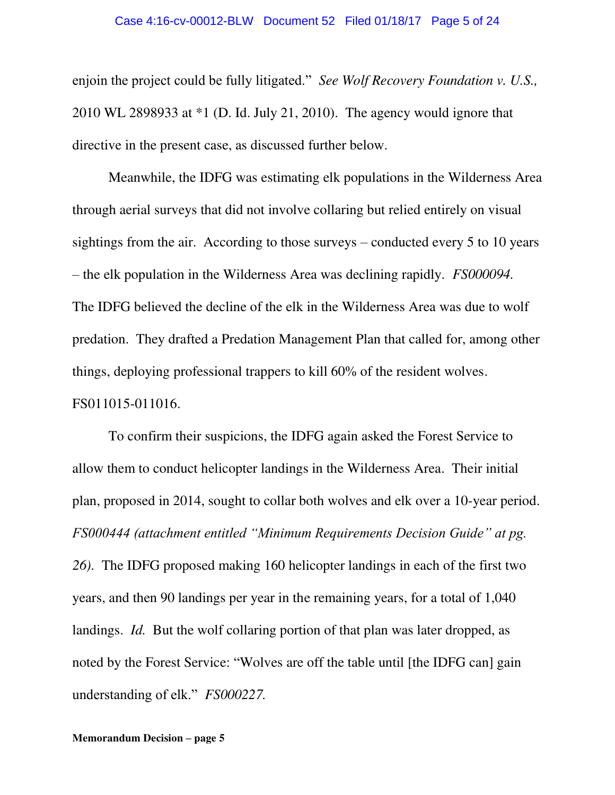#### Case 4:16-cv-00012-BLW Document 52 Filed 01/18/17 Page 5 of 24

enjoin the project could be fully litigated." *See Wolf Recovery Foundation v. U.S.,*  2010 WL 2898933 at \*1 (D. Id. July 21, 2010). The agency would ignore that directive in the present case, as discussed further below.

Meanwhile, the IDFG was estimating elk populations in the Wilderness Area through aerial surveys that did not involve collaring but relied entirely on visual sightings from the air. According to those surveys – conducted every 5 to 10 years – the elk population in the Wilderness Area was declining rapidly. *FS000094.*  The IDFG believed the decline of the elk in the Wilderness Area was due to wolf predation. They drafted a Predation Management Plan that called for, among other things, deploying professional trappers to kill 60% of the resident wolves. FS011015-011016.

To confirm their suspicions, the IDFG again asked the Forest Service to allow them to conduct helicopter landings in the Wilderness Area. Their initial plan, proposed in 2014, sought to collar both wolves and elk over a 10-year period. *FS000444 (attachment entitled "Minimum Requirements Decision Guide" at pg. 26).* The IDFG proposed making 160 helicopter landings in each of the first two years, and then 90 landings per year in the remaining years, for a total of 1,040 landings. *Id.* But the wolf collaring portion of that plan was later dropped, as noted by the Forest Service: "Wolves are off the table until [the IDFG can] gain understanding of elk." *FS000227.*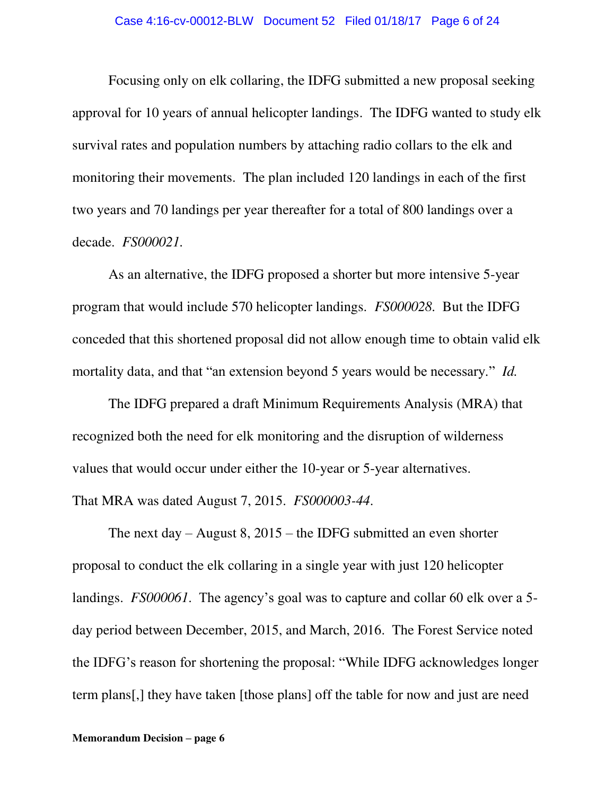Focusing only on elk collaring, the IDFG submitted a new proposal seeking approval for 10 years of annual helicopter landings. The IDFG wanted to study elk survival rates and population numbers by attaching radio collars to the elk and monitoring their movements. The plan included 120 landings in each of the first two years and 70 landings per year thereafter for a total of 800 landings over a decade. *FS000021.* 

As an alternative, the IDFG proposed a shorter but more intensive 5-year program that would include 570 helicopter landings. *FS000028.* But the IDFG conceded that this shortened proposal did not allow enough time to obtain valid elk mortality data, and that "an extension beyond 5 years would be necessary." *Id.*

The IDFG prepared a draft Minimum Requirements Analysis (MRA) that recognized both the need for elk monitoring and the disruption of wilderness values that would occur under either the 10-year or 5-year alternatives. That MRA was dated August 7, 2015. *FS000003-44*.

The next day – August 8, 2015 – the IDFG submitted an even shorter proposal to conduct the elk collaring in a single year with just 120 helicopter landings. *FS000061*. The agency's goal was to capture and collar 60 elk over a 5 day period between December, 2015, and March, 2016. The Forest Service noted the IDFG's reason for shortening the proposal: "While IDFG acknowledges longer term plans[,] they have taken [those plans] off the table for now and just are need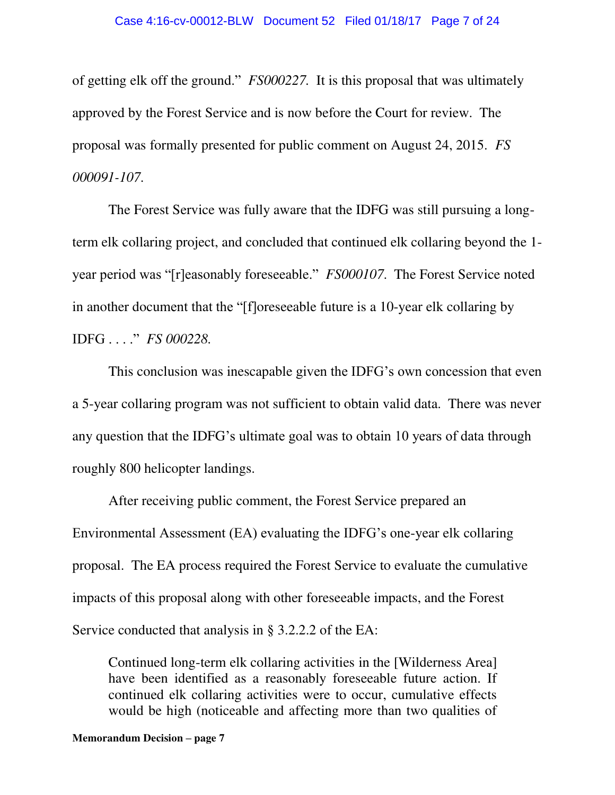of getting elk off the ground." *FS000227.* It is this proposal that was ultimately approved by the Forest Service and is now before the Court for review. The proposal was formally presented for public comment on August 24, 2015. *FS 000091-107*.

The Forest Service was fully aware that the IDFG was still pursuing a longterm elk collaring project, and concluded that continued elk collaring beyond the 1 year period was "[r]easonably foreseeable." *FS000107*. The Forest Service noted in another document that the "[f]oreseeable future is a 10-year elk collaring by IDFG . . . ." *FS 000228.* 

This conclusion was inescapable given the IDFG's own concession that even a 5-year collaring program was not sufficient to obtain valid data. There was never any question that the IDFG's ultimate goal was to obtain 10 years of data through roughly 800 helicopter landings.

After receiving public comment, the Forest Service prepared an Environmental Assessment (EA) evaluating the IDFG's one-year elk collaring proposal. The EA process required the Forest Service to evaluate the cumulative impacts of this proposal along with other foreseeable impacts, and the Forest Service conducted that analysis in § 3.2.2.2 of the EA:

Continued long-term elk collaring activities in the [Wilderness Area] have been identified as a reasonably foreseeable future action. If continued elk collaring activities were to occur, cumulative effects would be high (noticeable and affecting more than two qualities of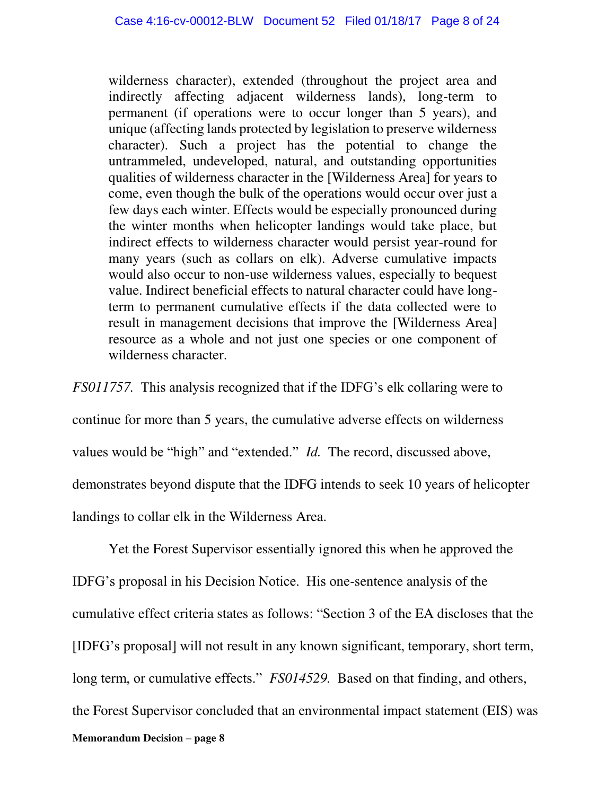wilderness character), extended (throughout the project area and indirectly affecting adjacent wilderness lands), long-term to permanent (if operations were to occur longer than 5 years), and unique (affecting lands protected by legislation to preserve wilderness character). Such a project has the potential to change the untrammeled, undeveloped, natural, and outstanding opportunities qualities of wilderness character in the [Wilderness Area] for years to come, even though the bulk of the operations would occur over just a few days each winter. Effects would be especially pronounced during the winter months when helicopter landings would take place, but indirect effects to wilderness character would persist year-round for many years (such as collars on elk). Adverse cumulative impacts would also occur to non-use wilderness values, especially to bequest value. Indirect beneficial effects to natural character could have longterm to permanent cumulative effects if the data collected were to result in management decisions that improve the [Wilderness Area] resource as a whole and not just one species or one component of wilderness character.

*FS011757.* This analysis recognized that if the IDFG's elk collaring were to continue for more than 5 years, the cumulative adverse effects on wilderness values would be "high" and "extended." *Id.* The record, discussed above, demonstrates beyond dispute that the IDFG intends to seek 10 years of helicopter landings to collar elk in the Wilderness Area.

**Memorandum Decision – page 8**  Yet the Forest Supervisor essentially ignored this when he approved the IDFG's proposal in his Decision Notice. His one-sentence analysis of the cumulative effect criteria states as follows: "Section 3 of the EA discloses that the [IDFG's proposal] will not result in any known significant, temporary, short term, long term, or cumulative effects." *FS014529*. Based on that finding, and others, the Forest Supervisor concluded that an environmental impact statement (EIS) was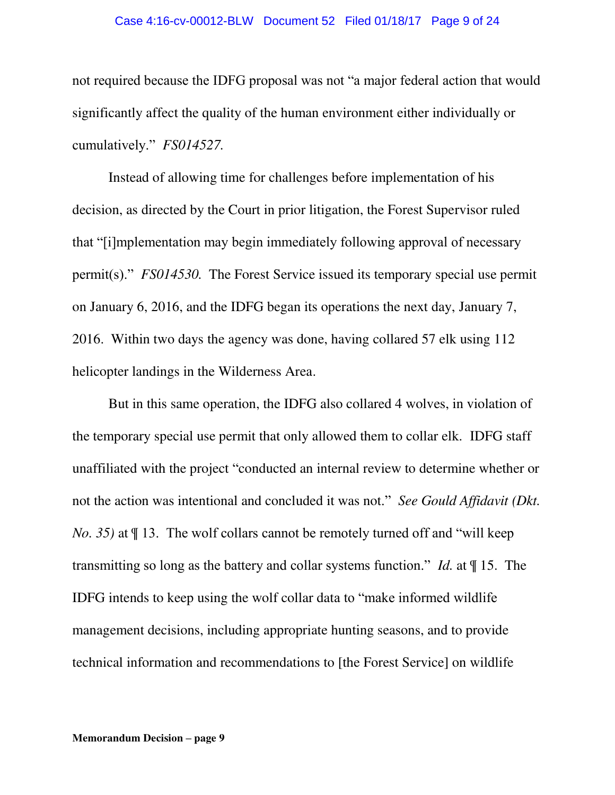#### Case 4:16-cv-00012-BLW Document 52 Filed 01/18/17 Page 9 of 24

not required because the IDFG proposal was not "a major federal action that would significantly affect the quality of the human environment either individually or cumulatively." *FS014527.*

Instead of allowing time for challenges before implementation of his decision, as directed by the Court in prior litigation, the Forest Supervisor ruled that "[i]mplementation may begin immediately following approval of necessary permit(s)." *FS014530.* The Forest Service issued its temporary special use permit on January 6, 2016, and the IDFG began its operations the next day, January 7, 2016. Within two days the agency was done, having collared 57 elk using 112 helicopter landings in the Wilderness Area.

But in this same operation, the IDFG also collared 4 wolves, in violation of the temporary special use permit that only allowed them to collar elk. IDFG staff unaffiliated with the project "conducted an internal review to determine whether or not the action was intentional and concluded it was not." *See Gould Affidavit (Dkt. No. 35)* at  $\P$  13. The wolf collars cannot be remotely turned off and "will keep transmitting so long as the battery and collar systems function." *Id.* at ¶ 15. The IDFG intends to keep using the wolf collar data to "make informed wildlife management decisions, including appropriate hunting seasons, and to provide technical information and recommendations to [the Forest Service] on wildlife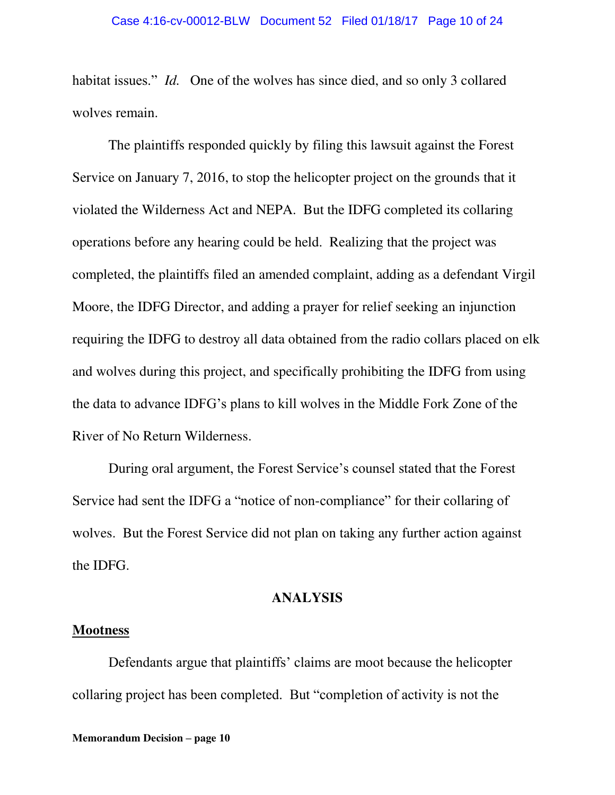habitat issues." *Id.* One of the wolves has since died, and so only 3 collared wolves remain.

The plaintiffs responded quickly by filing this lawsuit against the Forest Service on January 7, 2016, to stop the helicopter project on the grounds that it violated the Wilderness Act and NEPA. But the IDFG completed its collaring operations before any hearing could be held. Realizing that the project was completed, the plaintiffs filed an amended complaint, adding as a defendant Virgil Moore, the IDFG Director, and adding a prayer for relief seeking an injunction requiring the IDFG to destroy all data obtained from the radio collars placed on elk and wolves during this project, and specifically prohibiting the IDFG from using the data to advance IDFG's plans to kill wolves in the Middle Fork Zone of the River of No Return Wilderness.

During oral argument, the Forest Service's counsel stated that the Forest Service had sent the IDFG a "notice of non-compliance" for their collaring of wolves. But the Forest Service did not plan on taking any further action against the IDFG.

# **ANALYSIS**

### **Mootness**

Defendants argue that plaintiffs' claims are moot because the helicopter collaring project has been completed. But "completion of activity is not the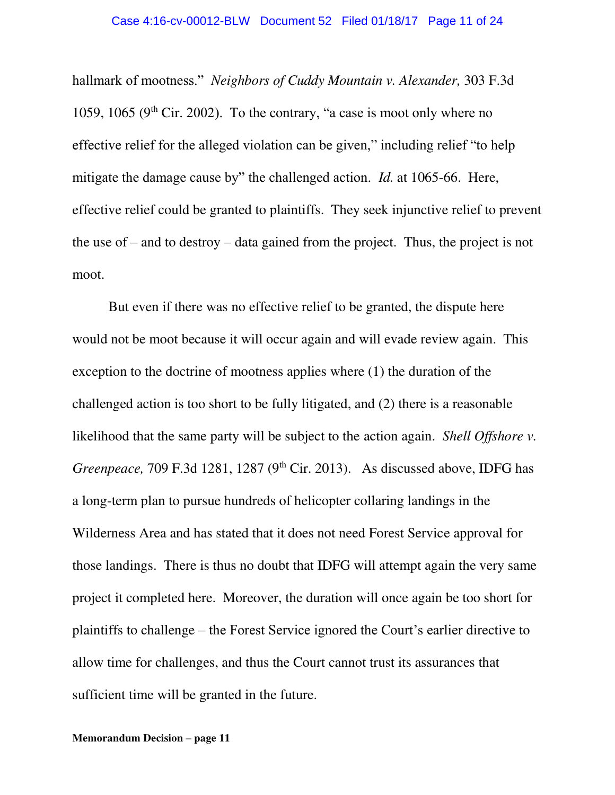hallmark of mootness." *Neighbors of Cuddy Mountain v. Alexander,* 303 F.3d 1059, 1065 (9<sup>th</sup> Cir. 2002). To the contrary, "a case is moot only where no effective relief for the alleged violation can be given," including relief "to help mitigate the damage cause by" the challenged action. *Id.* at 1065-66. Here, effective relief could be granted to plaintiffs. They seek injunctive relief to prevent the use of – and to destroy – data gained from the project. Thus, the project is not moot.

 But even if there was no effective relief to be granted, the dispute here would not be moot because it will occur again and will evade review again. This exception to the doctrine of mootness applies where (1) the duration of the challenged action is too short to be fully litigated, and (2) there is a reasonable likelihood that the same party will be subject to the action again. *Shell Offshore v. Greenpeace, 709 F.3d 1281, 1287 (9<sup>th</sup> Cir. 2013).* As discussed above, IDFG has a long-term plan to pursue hundreds of helicopter collaring landings in the Wilderness Area and has stated that it does not need Forest Service approval for those landings. There is thus no doubt that IDFG will attempt again the very same project it completed here. Moreover, the duration will once again be too short for plaintiffs to challenge – the Forest Service ignored the Court's earlier directive to allow time for challenges, and thus the Court cannot trust its assurances that sufficient time will be granted in the future.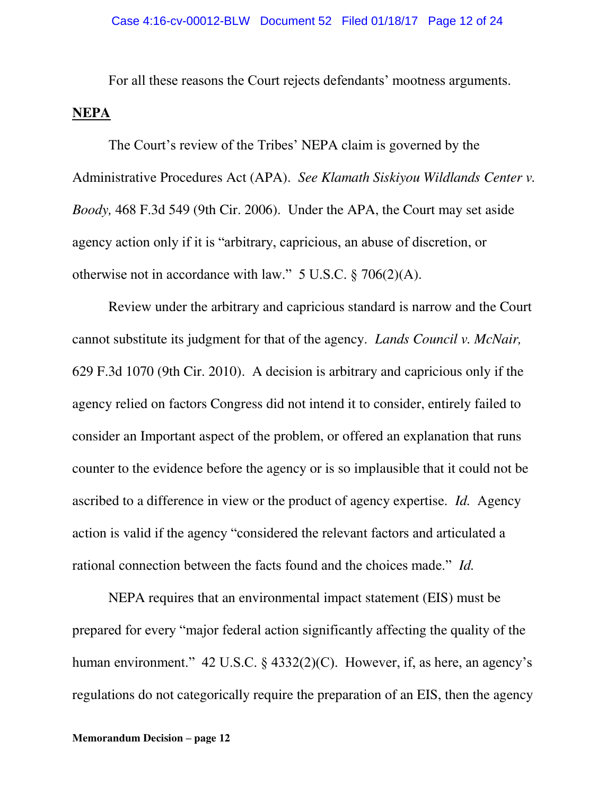For all these reasons the Court rejects defendants' mootness arguments.

## **NEPA**

The Court's review of the Tribes' NEPA claim is governed by the Administrative Procedures Act (APA). *See Klamath Siskiyou Wildlands Center v. Boody,* 468 F.3d 549 (9th Cir. 2006). Under the APA, the Court may set aside agency action only if it is "arbitrary, capricious, an abuse of discretion, or otherwise not in accordance with law." 5 U.S.C. § 706(2)(A).

 Review under the arbitrary and capricious standard is narrow and the Court cannot substitute its judgment for that of the agency. *Lands Council v. McNair,*  629 F.3d 1070 (9th Cir. 2010). A decision is arbitrary and capricious only if the agency relied on factors Congress did not intend it to consider, entirely failed to consider an Important aspect of the problem, or offered an explanation that runs counter to the evidence before the agency or is so implausible that it could not be ascribed to a difference in view or the product of agency expertise. *Id.* Agency action is valid if the agency "considered the relevant factors and articulated a rational connection between the facts found and the choices made." *Id.*

NEPA requires that an environmental impact statement (EIS) must be prepared for every "major federal action significantly affecting the quality of the human environment." 42 U.S.C. § 4332(2)(C). However, if, as here, an agency's regulations do not categorically require the preparation of an EIS, then the agency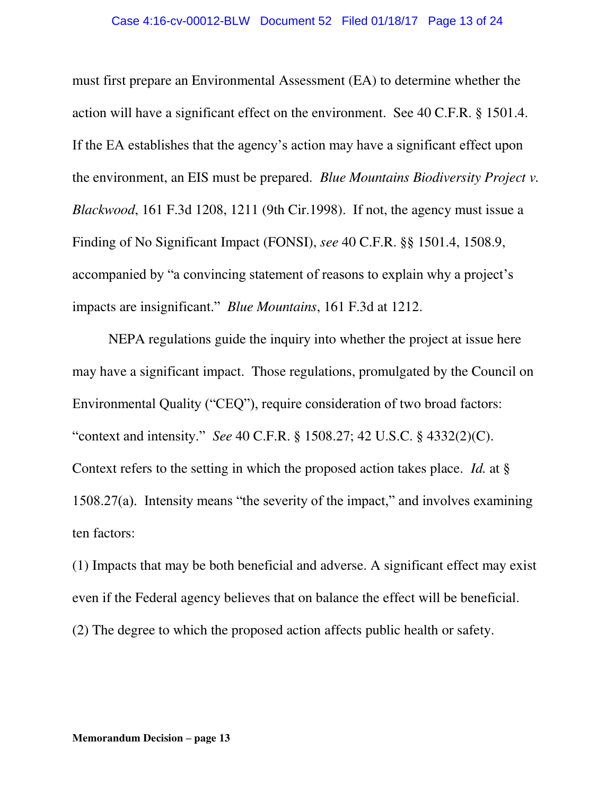must first prepare an Environmental Assessment (EA) to determine whether the action will have a significant effect on the environment. See 40 C.F.R. § 1501.4. If the EA establishes that the agency's action may have a significant effect upon the environment, an EIS must be prepared*. Blue Mountains Biodiversity Project v. Blackwood*, 161 F.3d 1208, 1211 (9th Cir.1998). If not, the agency must issue a Finding of No Significant Impact (FONSI), *see* 40 C.F.R. §§ 1501.4, 1508.9, accompanied by "a convincing statement of reasons to explain why a project's impacts are insignificant." *Blue Mountains*, 161 F.3d at 1212.

 NEPA regulations guide the inquiry into whether the project at issue here may have a significant impact. Those regulations, promulgated by the Council on Environmental Quality ("CEQ"), require consideration of two broad factors: "context and intensity." *See* 40 C.F.R. § 1508.27; 42 U.S.C. § 4332(2)(C). Context refers to the setting in which the proposed action takes place. *Id.* at § 1508.27(a). Intensity means "the severity of the impact," and involves examining ten factors:

(1) Impacts that may be both beneficial and adverse. A significant effect may exist even if the Federal agency believes that on balance the effect will be beneficial. (2) The degree to which the proposed action affects public health or safety.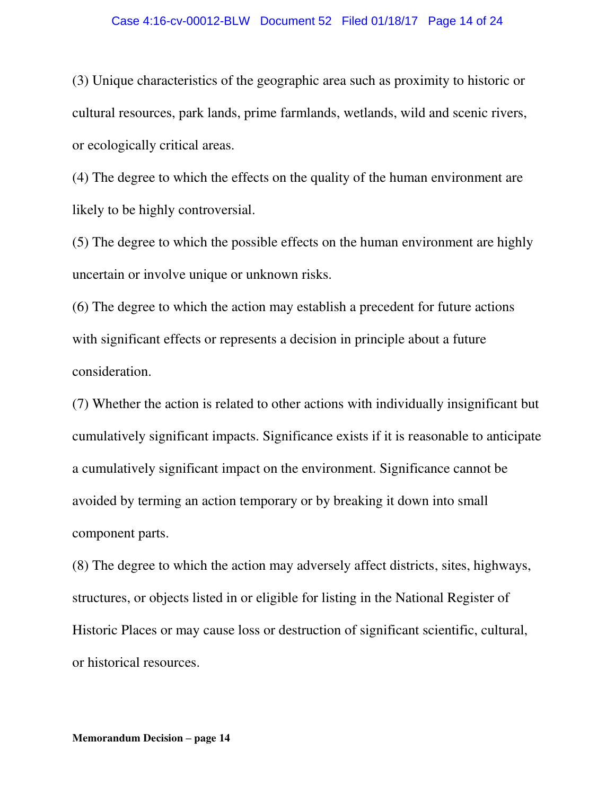#### Case 4:16-cv-00012-BLW Document 52 Filed 01/18/17 Page 14 of 24

(3) Unique characteristics of the geographic area such as proximity to historic or cultural resources, park lands, prime farmlands, wetlands, wild and scenic rivers, or ecologically critical areas.

(4) The degree to which the effects on the quality of the human environment are likely to be highly controversial.

(5) The degree to which the possible effects on the human environment are highly uncertain or involve unique or unknown risks.

(6) The degree to which the action may establish a precedent for future actions with significant effects or represents a decision in principle about a future consideration.

(7) Whether the action is related to other actions with individually insignificant but cumulatively significant impacts. Significance exists if it is reasonable to anticipate a cumulatively significant impact on the environment. Significance cannot be avoided by terming an action temporary or by breaking it down into small component parts.

(8) The degree to which the action may adversely affect districts, sites, highways, structures, or objects listed in or eligible for listing in the National Register of Historic Places or may cause loss or destruction of significant scientific, cultural, or historical resources.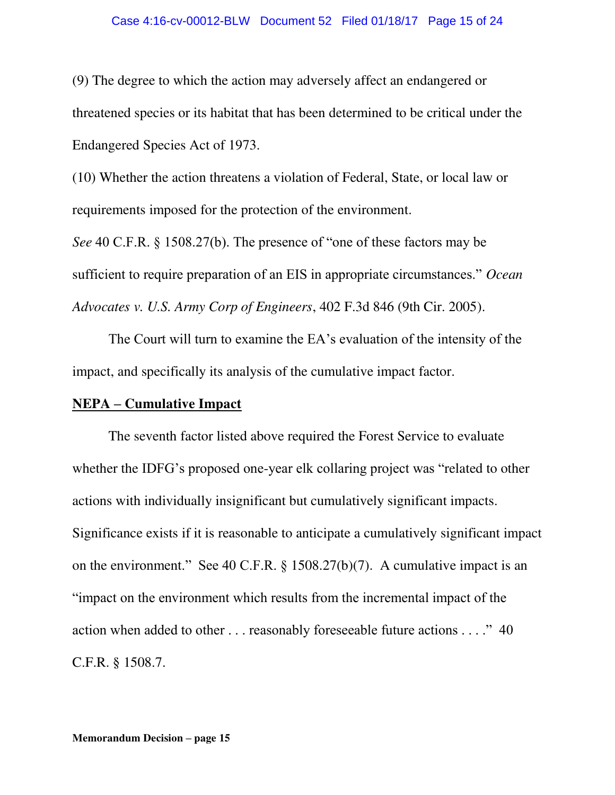(9) The degree to which the action may adversely affect an endangered or threatened species or its habitat that has been determined to be critical under the Endangered Species Act of 1973.

(10) Whether the action threatens a violation of Federal, State, or local law or requirements imposed for the protection of the environment.

*See* 40 C.F.R. § 1508.27(b). The presence of "one of these factors may be sufficient to require preparation of an EIS in appropriate circumstances." *Ocean Advocates v. U.S. Army Corp of Engineers*, 402 F.3d 846 (9th Cir. 2005).

The Court will turn to examine the EA's evaluation of the intensity of the impact, and specifically its analysis of the cumulative impact factor.

# **NEPA – Cumulative Impact**

 The seventh factor listed above required the Forest Service to evaluate whether the IDFG's proposed one-year elk collaring project was "related to other actions with individually insignificant but cumulatively significant impacts. Significance exists if it is reasonable to anticipate a cumulatively significant impact on the environment." See 40 C.F.R. § 1508.27(b)(7). A cumulative impact is an "impact on the environment which results from the incremental impact of the action when added to other . . . reasonably foreseeable future actions . . . ." 40 C.F.R. § 1508.7.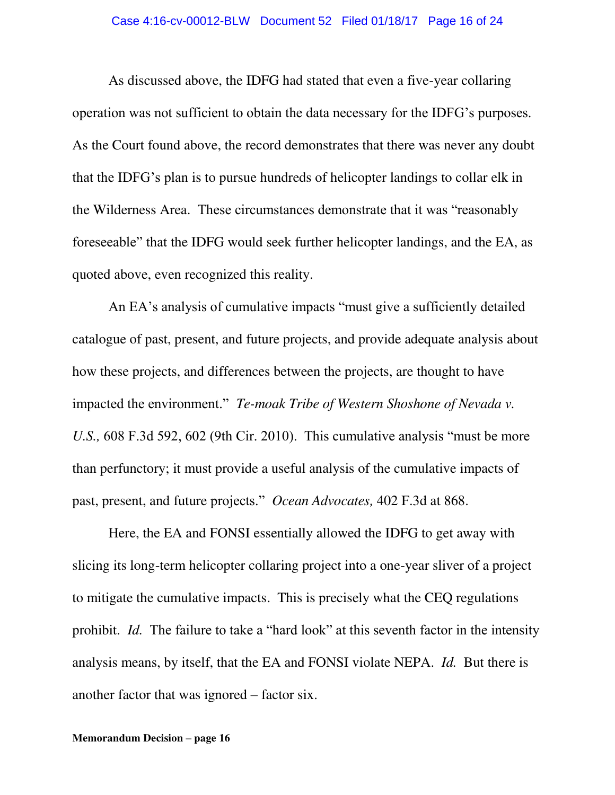As discussed above, the IDFG had stated that even a five-year collaring operation was not sufficient to obtain the data necessary for the IDFG's purposes. As the Court found above, the record demonstrates that there was never any doubt that the IDFG's plan is to pursue hundreds of helicopter landings to collar elk in the Wilderness Area. These circumstances demonstrate that it was "reasonably foreseeable" that the IDFG would seek further helicopter landings, and the EA, as quoted above, even recognized this reality.

An EA's analysis of cumulative impacts "must give a sufficiently detailed catalogue of past, present, and future projects, and provide adequate analysis about how these projects, and differences between the projects, are thought to have impacted the environment." *Te-moak Tribe of Western Shoshone of Nevada v. U.S.,* 608 F.3d 592, 602 (9th Cir. 2010). This cumulative analysis "must be more than perfunctory; it must provide a useful analysis of the cumulative impacts of past, present, and future projects." *Ocean Advocates,* 402 F.3d at 868.

 Here, the EA and FONSI essentially allowed the IDFG to get away with slicing its long-term helicopter collaring project into a one-year sliver of a project to mitigate the cumulative impacts. This is precisely what the CEQ regulations prohibit. *Id.* The failure to take a "hard look" at this seventh factor in the intensity analysis means, by itself, that the EA and FONSI violate NEPA. *Id.* But there is another factor that was ignored – factor six.

#### **Memorandum Decision – page 16**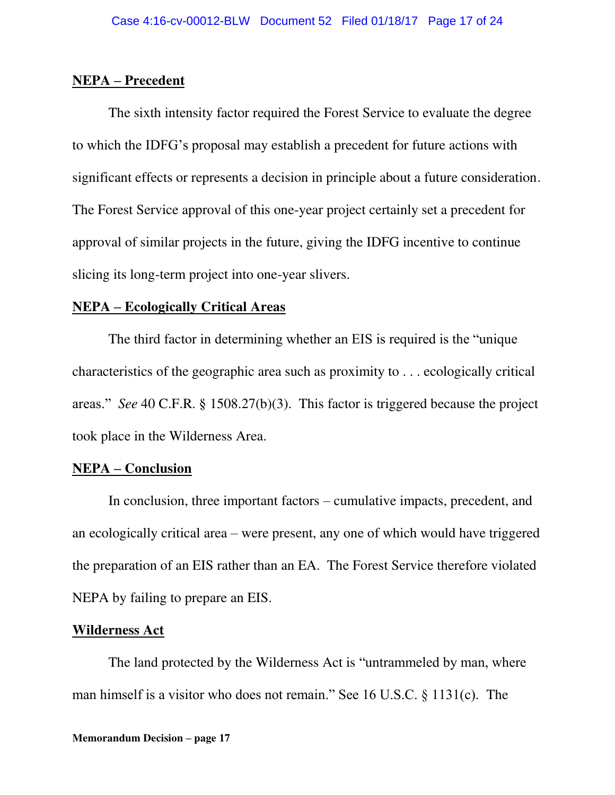### **NEPA – Precedent**

The sixth intensity factor required the Forest Service to evaluate the degree to which the IDFG's proposal may establish a precedent for future actions with significant effects or represents a decision in principle about a future consideration. The Forest Service approval of this one-year project certainly set a precedent for approval of similar projects in the future, giving the IDFG incentive to continue slicing its long-term project into one-year slivers.

### **NEPA – Ecologically Critical Areas**

 The third factor in determining whether an EIS is required is the "unique characteristics of the geographic area such as proximity to . . . ecologically critical areas." *See* 40 C.F.R. § 1508.27(b)(3). This factor is triggered because the project took place in the Wilderness Area.

# **NEPA – Conclusion**

 In conclusion, three important factors – cumulative impacts, precedent, and an ecologically critical area – were present, any one of which would have triggered the preparation of an EIS rather than an EA. The Forest Service therefore violated NEPA by failing to prepare an EIS.

### **Wilderness Act**

 The land protected by the Wilderness Act is "untrammeled by man, where man himself is a visitor who does not remain." See 16 U.S.C. § 1131(c). The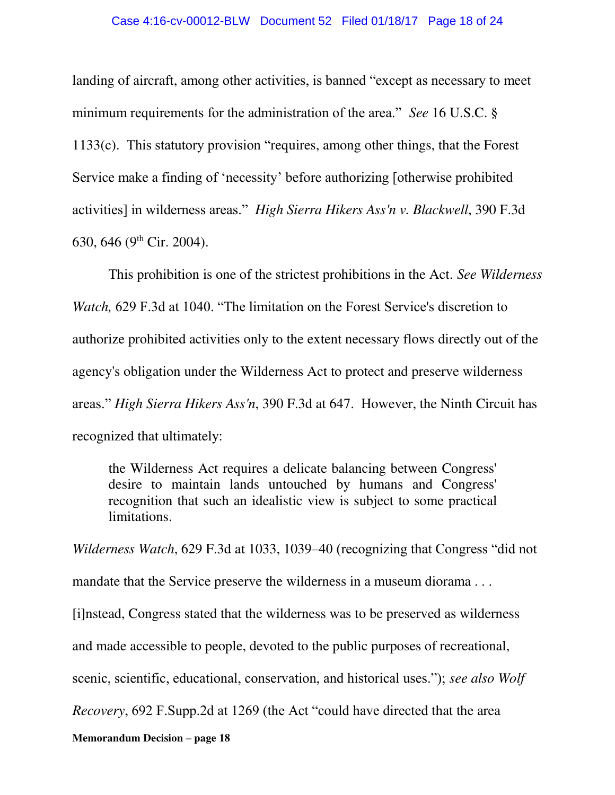#### Case 4:16-cv-00012-BLW Document 52 Filed 01/18/17 Page 18 of 24

landing of aircraft, among other activities, is banned "except as necessary to meet minimum requirements for the administration of the area." *See* 16 U.S.C. § 1133(c). This statutory provision "requires, among other things, that the Forest Service make a finding of 'necessity' before authorizing [otherwise prohibited activities] in wilderness areas." *High Sierra Hikers Ass'n v. Blackwell*, 390 F.3d 630, 646 (9th Cir. 2004).

This prohibition is one of the strictest prohibitions in the Act. *See Wilderness Watch,* 629 F.3d at 1040. "The limitation on the Forest Service's discretion to authorize prohibited activities only to the extent necessary flows directly out of the agency's obligation under the Wilderness Act to protect and preserve wilderness areas." *High Sierra Hikers Ass'n*, 390 F.3d at 647. However, the Ninth Circuit has recognized that ultimately:

the Wilderness Act requires a delicate balancing between Congress' desire to maintain lands untouched by humans and Congress' recognition that such an idealistic view is subject to some practical limitations.

*Wilderness Watch*, 629 F.3d at 1033, 1039–40 (recognizing that Congress "did not mandate that the Service preserve the wilderness in a museum diorama... [i]nstead, Congress stated that the wilderness was to be preserved as wilderness and made accessible to people, devoted to the public purposes of recreational, scenic, scientific, educational, conservation, and historical uses."); *see also Wolf Recovery*, 692 F.Supp.2d at 1269 (the Act "could have directed that the area

**Memorandum Decision – page 18**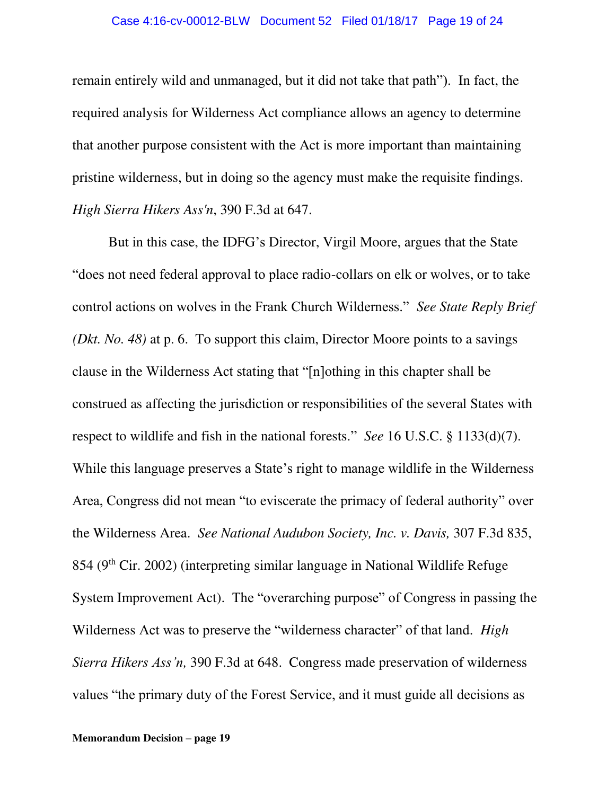#### Case 4:16-cv-00012-BLW Document 52 Filed 01/18/17 Page 19 of 24

remain entirely wild and unmanaged, but it did not take that path"). In fact, the required analysis for Wilderness Act compliance allows an agency to determine that another purpose consistent with the Act is more important than maintaining pristine wilderness, but in doing so the agency must make the requisite findings. *High Sierra Hikers Ass'n*, 390 F.3d at 647.

 But in this case, the IDFG's Director, Virgil Moore, argues that the State "does not need federal approval to place radio-collars on elk or wolves, or to take control actions on wolves in the Frank Church Wilderness." *See State Reply Brief (Dkt. No. 48)* at p. 6. To support this claim, Director Moore points to a savings clause in the Wilderness Act stating that "[n]othing in this chapter shall be construed as affecting the jurisdiction or responsibilities of the several States with respect to wildlife and fish in the national forests." *See* 16 U.S.C. § 1133(d)(7). While this language preserves a State's right to manage wildlife in the Wilderness Area, Congress did not mean "to eviscerate the primacy of federal authority" over the Wilderness Area. *See National Audubon Society, Inc. v. Davis,* 307 F.3d 835,  $854$  (9<sup>th</sup> Cir. 2002) (interpreting similar language in National Wildlife Refuge System Improvement Act). The "overarching purpose" of Congress in passing the Wilderness Act was to preserve the "wilderness character" of that land. *High Sierra Hikers Ass'n,* 390 F.3d at 648. Congress made preservation of wilderness values "the primary duty of the Forest Service, and it must guide all decisions as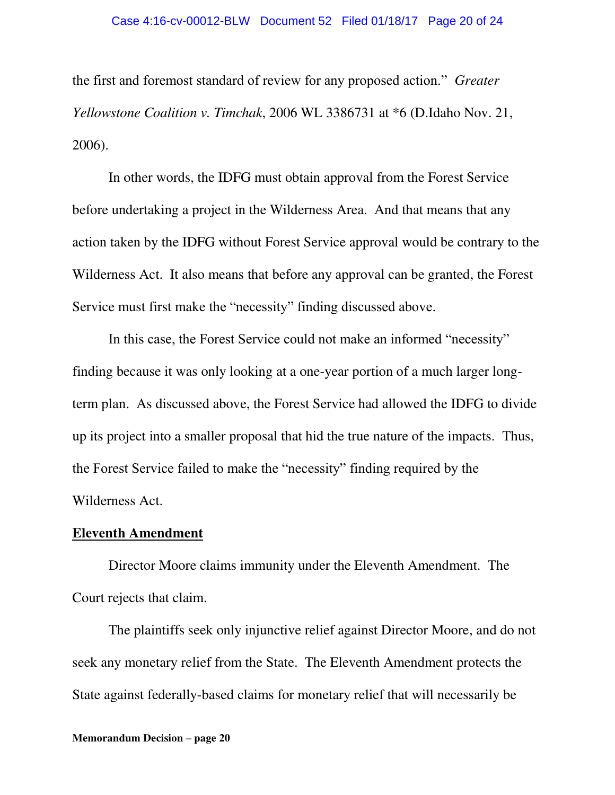the first and foremost standard of review for any proposed action." *Greater Yellowstone Coalition v. Timchak*, 2006 WL 3386731 at \*6 (D.Idaho Nov. 21, 2006).

 In other words, the IDFG must obtain approval from the Forest Service before undertaking a project in the Wilderness Area. And that means that any action taken by the IDFG without Forest Service approval would be contrary to the Wilderness Act. It also means that before any approval can be granted, the Forest Service must first make the "necessity" finding discussed above.

In this case, the Forest Service could not make an informed "necessity" finding because it was only looking at a one-year portion of a much larger longterm plan. As discussed above, the Forest Service had allowed the IDFG to divide up its project into a smaller proposal that hid the true nature of the impacts. Thus, the Forest Service failed to make the "necessity" finding required by the Wilderness Act.

### **Eleventh Amendment**

Director Moore claims immunity under the Eleventh Amendment. The Court rejects that claim.

The plaintiffs seek only injunctive relief against Director Moore, and do not seek any monetary relief from the State. The Eleventh Amendment protects the State against federally-based claims for monetary relief that will necessarily be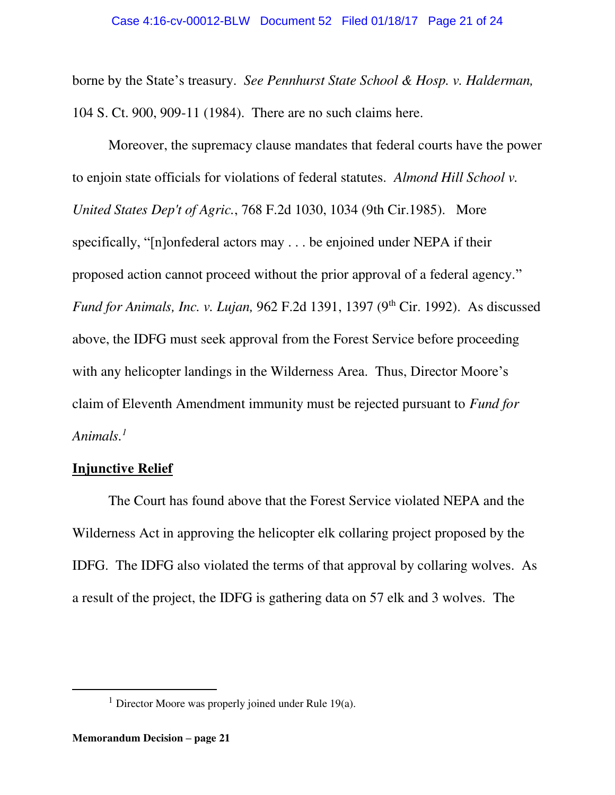borne by the State's treasury. *See Pennhurst State School & Hosp. v. Halderman,* 104 S. Ct. 900, 909-11 (1984). There are no such claims here.

Moreover, the supremacy clause mandates that federal courts have the power to enjoin state officials for violations of federal statutes. *Almond Hill School v. United States Dep't of Agric.*, 768 F.2d 1030, 1034 (9th Cir.1985). More specifically, "[n]onfederal actors may . . . be enjoined under NEPA if their proposed action cannot proceed without the prior approval of a federal agency." *Fund for Animals, Inc. v. Lujan, 962 F.2d 1391, 1397 (9th Cir. 1992). As discussed* above, the IDFG must seek approval from the Forest Service before proceeding with any helicopter landings in the Wilderness Area. Thus, Director Moore's claim of Eleventh Amendment immunity must be rejected pursuant to *Fund for Animals.<sup>1</sup>*

### **Injunctive Relief**

 The Court has found above that the Forest Service violated NEPA and the Wilderness Act in approving the helicopter elk collaring project proposed by the IDFG. The IDFG also violated the terms of that approval by collaring wolves. As a result of the project, the IDFG is gathering data on 57 elk and 3 wolves. The

 $\overline{a}$ 

<sup>&</sup>lt;sup>1</sup> Director Moore was properly joined under Rule 19(a).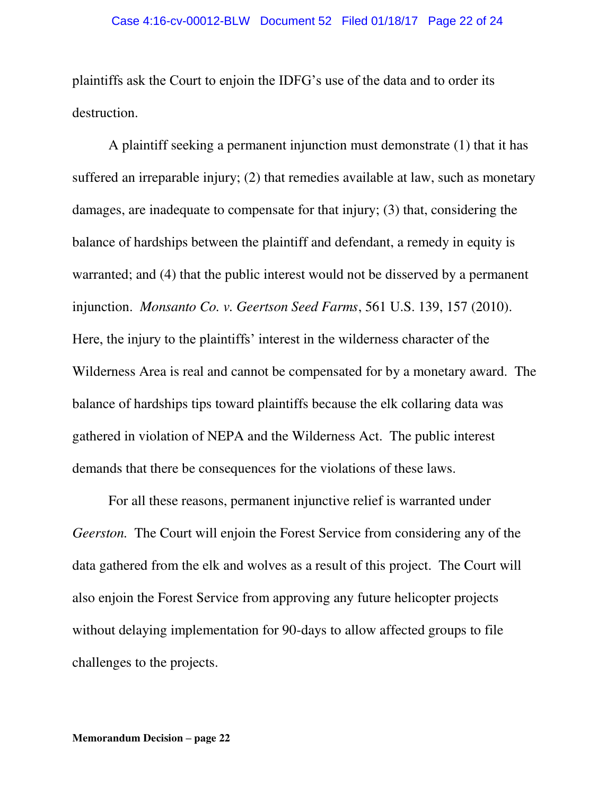plaintiffs ask the Court to enjoin the IDFG's use of the data and to order its destruction.

A plaintiff seeking a permanent injunction must demonstrate (1) that it has suffered an irreparable injury; (2) that remedies available at law, such as monetary damages, are inadequate to compensate for that injury; (3) that, considering the balance of hardships between the plaintiff and defendant, a remedy in equity is warranted; and (4) that the public interest would not be disserved by a permanent injunction. *Monsanto Co. v. Geertson Seed Farms*, 561 U.S. 139, 157 (2010). Here, the injury to the plaintiffs' interest in the wilderness character of the Wilderness Area is real and cannot be compensated for by a monetary award. The balance of hardships tips toward plaintiffs because the elk collaring data was gathered in violation of NEPA and the Wilderness Act. The public interest demands that there be consequences for the violations of these laws.

For all these reasons, permanent injunctive relief is warranted under *Geerston.* The Court will enjoin the Forest Service from considering any of the data gathered from the elk and wolves as a result of this project. The Court will also enjoin the Forest Service from approving any future helicopter projects without delaying implementation for 90-days to allow affected groups to file challenges to the projects.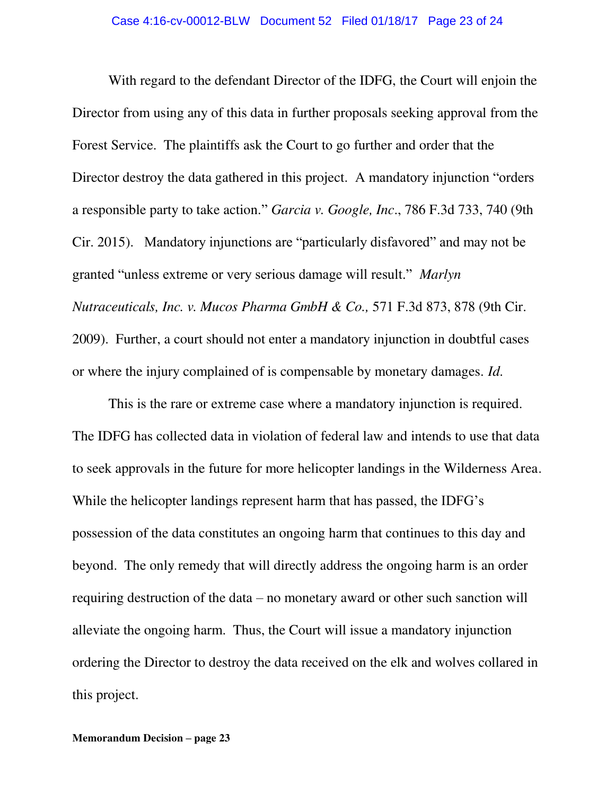With regard to the defendant Director of the IDFG, the Court will enjoin the Director from using any of this data in further proposals seeking approval from the Forest Service. The plaintiffs ask the Court to go further and order that the Director destroy the data gathered in this project. A mandatory injunction "orders a responsible party to take action." *Garcia v. Google, Inc*., 786 F.3d 733, 740 (9th Cir. 2015). Mandatory injunctions are "particularly disfavored" and may not be granted "unless extreme or very serious damage will result." *Marlyn Nutraceuticals, Inc. v. Mucos Pharma GmbH & Co.,* 571 F.3d 873, 878 (9th Cir. 2009). Further, a court should not enter a mandatory injunction in doubtful cases or where the injury complained of is compensable by monetary damages. *Id*.

This is the rare or extreme case where a mandatory injunction is required. The IDFG has collected data in violation of federal law and intends to use that data to seek approvals in the future for more helicopter landings in the Wilderness Area. While the helicopter landings represent harm that has passed, the IDFG's possession of the data constitutes an ongoing harm that continues to this day and beyond. The only remedy that will directly address the ongoing harm is an order requiring destruction of the data – no monetary award or other such sanction will alleviate the ongoing harm. Thus, the Court will issue a mandatory injunction ordering the Director to destroy the data received on the elk and wolves collared in this project.